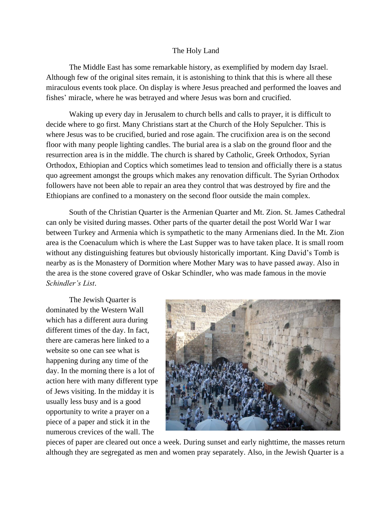## The Holy Land

The Middle East has some remarkable history, as exemplified by modern day Israel. Although few of the original sites remain, it is astonishing to think that this is where all these miraculous events took place. On display is where Jesus preached and performed the loaves and fishes' miracle, where he was betrayed and where Jesus was born and crucified.

Waking up every day in Jerusalem to church bells and calls to prayer, it is difficult to decide where to go first. Many Christians start at the Church of the Holy Sepulcher. This is where Jesus was to be crucified, buried and rose again. The crucifixion area is on the second floor with many people lighting candles. The burial area is a slab on the ground floor and the resurrection area is in the middle. The church is shared by Catholic, Greek Orthodox, Syrian Orthodox, Ethiopian and Coptics which sometimes lead to tension and officially there is a status quo agreement amongst the groups which makes any renovation difficult. The Syrian Orthodox followers have not been able to repair an area they control that was destroyed by fire and the Ethiopians are confined to a monastery on the second floor outside the main complex.

South of the Christian Quarter is the Armenian Quarter and Mt. Zion. St. James Cathedral can only be visited during masses. Other parts of the quarter detail the post World War I war between Turkey and Armenia which is sympathetic to the many Armenians died. In the Mt. Zion area is the Coenaculum which is where the Last Supper was to have taken place. It is small room without any distinguishing features but obviously historically important. King David's Tomb is nearby as is the Monastery of Dormition where Mother Mary was to have passed away. Also in the area is the stone covered grave of Oskar Schindler, who was made famous in the movie *Schindler's List*.

The Jewish Quarter is dominated by the Western Wall which has a different aura during different times of the day. In fact, there are cameras here linked to a website so one can see what is happening during any time of the day. In the morning there is a lot of action here with many different type of Jews visiting. In the midday it is usually less busy and is a good opportunity to write a prayer on a piece of a paper and stick it in the numerous crevices of the wall. The



pieces of paper are cleared out once a week. During sunset and early nighttime, the masses return although they are segregated as men and women pray separately. Also, in the Jewish Quarter is a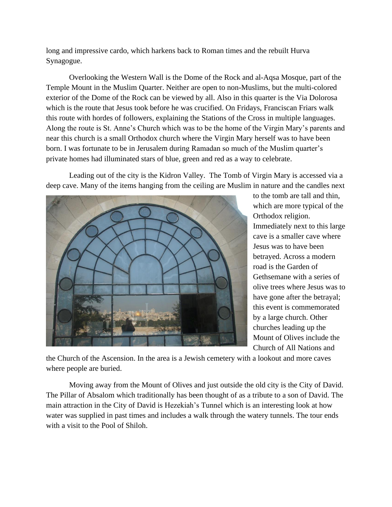long and impressive cardo, which harkens back to Roman times and the rebuilt Hurva Synagogue.

Overlooking the Western Wall is the Dome of the Rock and al-Aqsa Mosque, part of the Temple Mount in the Muslim Quarter. Neither are open to non-Muslims, but the multi-colored exterior of the Dome of the Rock can be viewed by all. Also in this quarter is the Via Dolorosa which is the route that Jesus took before he was crucified. On Fridays, Franciscan Friars walk this route with hordes of followers, explaining the Stations of the Cross in multiple languages. Along the route is St. Anne's Church which was to be the home of the Virgin Mary's parents and near this church is a small Orthodox church where the Virgin Mary herself was to have been born. I was fortunate to be in Jerusalem during Ramadan so much of the Muslim quarter's private homes had illuminated stars of blue, green and red as a way to celebrate.

Leading out of the city is the Kidron Valley. The Tomb of Virgin Mary is accessed via a deep cave. Many of the items hanging from the ceiling are Muslim in nature and the candles next



to the tomb are tall and thin, which are more typical of the Orthodox religion. Immediately next to this large cave is a smaller cave where Jesus was to have been betrayed. Across a modern road is the Garden of Gethsemane with a series of olive trees where Jesus was to have gone after the betrayal; this event is commemorated by a large church. Other churches leading up the Mount of Olives include the Church of All Nations and

the Church of the Ascension. In the area is a Jewish cemetery with a lookout and more caves where people are buried.

Moving away from the Mount of Olives and just outside the old city is the City of David. The Pillar of Absalom which traditionally has been thought of as a tribute to a son of David. The main attraction in the City of David is Hezekiah's Tunnel which is an interesting look at how water was supplied in past times and includes a walk through the watery tunnels. The tour ends with a visit to the Pool of Shiloh.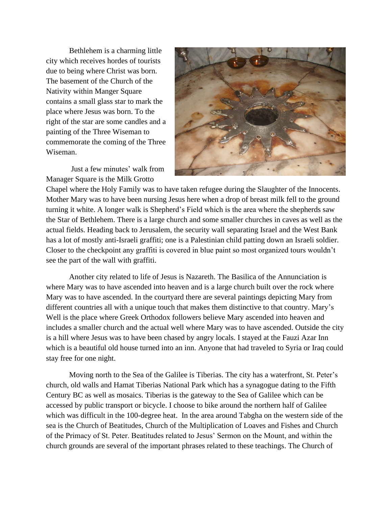Bethlehem is a charming little city which receives hordes of tourists due to being where Christ was born. The basement of the Church of the Nativity within Manger Square contains a small glass star to mark the place where Jesus was born. To the right of the star are some candles and a painting of the Three Wiseman to commemorate the coming of the Three Wiseman.

Just a few minutes' walk from Manager Square is the Milk Grotto



Chapel where the Holy Family was to have taken refugee during the Slaughter of the Innocents. Mother Mary was to have been nursing Jesus here when a drop of breast milk fell to the ground turning it white. A longer walk is Shepherd's Field which is the area where the shepherds saw the Star of Bethlehem. There is a large church and some smaller churches in caves as well as the actual fields. Heading back to Jerusalem, the security wall separating Israel and the West Bank has a lot of mostly anti-Israeli graffiti; one is a Palestinian child patting down an Israeli soldier. Closer to the checkpoint any graffiti is covered in blue paint so most organized tours wouldn't see the part of the wall with graffiti.

Another city related to life of Jesus is Nazareth. The Basilica of the Annunciation is where Mary was to have ascended into heaven and is a large church built over the rock where Mary was to have ascended. In the courtyard there are several paintings depicting Mary from different countries all with a unique touch that makes them distinctive to that country. Mary's Well is the place where Greek Orthodox followers believe Mary ascended into heaven and includes a smaller church and the actual well where Mary was to have ascended. Outside the city is a hill where Jesus was to have been chased by angry locals. I stayed at the Fauzi Azar Inn which is a beautiful old house turned into an inn. Anyone that had traveled to Syria or Iraq could stay free for one night.

Moving north to the Sea of the Galilee is Tiberias. The city has a waterfront, St. Peter's church, old walls and Hamat Tiberias National Park which has a synagogue dating to the Fifth Century BC as well as mosaics. Tiberias is the gateway to the Sea of Galilee which can be accessed by public transport or bicycle. I choose to bike around the northern half of Galilee which was difficult in the 100-degree heat. In the area around Tabgha on the western side of the sea is the Church of Beatitudes, Church of the Multiplication of Loaves and Fishes and Church of the Primacy of St. Peter. Beatitudes related to Jesus' Sermon on the Mount, and within the church grounds are several of the important phrases related to these teachings. The Church of